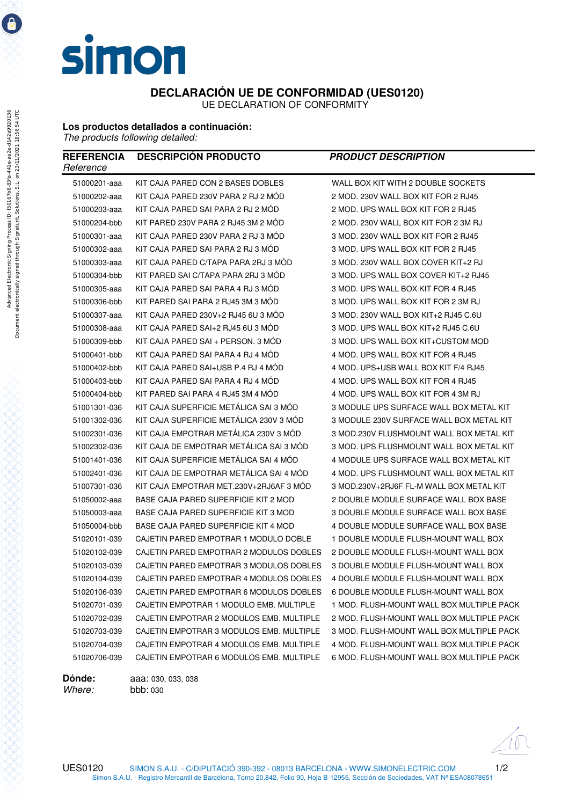

 **DECLARACIÓN UE DE CONFORMIDAD (UES0120)** 

UE DECLARATION OF CONFORMITY

## **Los productos detallados a continuación:**

*The products following detailed:* 

| <b>REFERENCIA</b><br>Reference | <b>DESCRIPCIÓN PRODUCTO</b>              | <b>PRODUCT DESCRIPTION</b>                |
|--------------------------------|------------------------------------------|-------------------------------------------|
| 51000201-aaa                   | KIT CAJA PARED CON 2 BASES DOBLES        | WALL BOX KIT WITH 2 DOUBLE SOCKETS        |
| 51000202-aaa                   | KIT CAJA PARED 230V PARA 2 RJ 2 MOD      | 2 MOD. 230V WALL BOX KIT FOR 2 RJ45       |
| 51000203-aaa                   | KIT CAJA PARED SAI PARA 2 RJ 2 MOD       | 2 MOD. UPS WALL BOX KIT FOR 2 RJ45        |
| 51000204-bbb                   | KIT PARED 230V PARA 2 RJ45 3M 2 MOD      | 2 MOD. 230V WALL BOX KIT FOR 2 3M RJ      |
| 51000301-aaa                   | KIT CAJA PARED 230V PARA 2 RJ 3 MOD      | 3 MOD. 230V WALL BOX KIT FOR 2 RJ45       |
| 51000302-aaa                   | KIT CAJA PARED SAI PARA 2 RJ 3 MOD       | 3 MOD. UPS WALL BOX KIT FOR 2 RJ45        |
| 51000303-aaa                   | KIT CAJA PARED C/TAPA PARA 2RJ 3 MOD     | 3 MOD. 230V WALL BOX COVER KIT+2 RJ       |
| 51000304-bbb                   | KIT PARED SAI C/TAPA PARA 2RJ 3 MOD      | 3 MOD. UPS WALL BOX COVER KIT+2 RJ45      |
| 51000305-aaa                   | KIT CAJA PARED SAI PARA 4 RJ 3 MOD       | 3 MOD, UPS WALL BOX KIT FOR 4 RJ45        |
| 51000306-bbb                   | KIT PARED SAI PARA 2 RJ45 3M 3 MOD       | 3 MOD. UPS WALL BOX KIT FOR 2 3M RJ       |
| 51000307-aaa                   | KIT CAJA PARED 230V+2 RJ45 6U 3 MOD      | 3 MOD. 230V WALL BOX KIT+2 RJ45 C.6U      |
| 51000308-aaa                   | KIT CAJA PARED SAI+2 RJ45 6U 3 MOD       | 3 MOD. UPS WALL BOX KIT+2 RJ45 C.6U       |
| 51000309-bbb                   | KIT CAJA PARED SAI + PERSON. 3 MOD       | 3 MOD. UPS WALL BOX KIT+CUSTOM MOD        |
| 51000401-bbb                   | KIT CAJA PARED SAI PARA 4 RJ 4 MOD       | 4 MOD. UPS WALL BOX KIT FOR 4 RJ45        |
| 51000402-bbb                   | KIT CAJA PARED SAI+USB P.4 RJ 4 MOD      | 4 MOD. UPS+USB WALL BOX KIT F/4 RJ45      |
| 51000403-bbb                   | KIT CAJA PARED SAI PARA 4 RJ 4 MOD       | 4 MOD. UPS WALL BOX KIT FOR 4 RJ45        |
| 51000404-bbb                   | KIT PARED SAI PARA 4 RJ45 3M 4 MOD       | 4 MOD. UPS WALL BOX KIT FOR 4 3M RJ       |
| 51001301-036                   | KIT CAJA SUPERFICIE METÁLICA SAI 3 MÓD   | 3 MODULE UPS SURFACE WALL BOX METAL KIT   |
| 51001302-036                   | KIT CAJA SUPERFICIE METÁLICA 230V 3 MÓD  | 3 MODULE 230V SURFACE WALL BOX METAL KIT  |
| 51002301-036                   | KIT CAJA EMPOTRAR METÁLICA 230V 3 MÓD    | 3 MOD.230V FLUSHMOUNT WALL BOX METAL KIT  |
| 51002302-036                   | KIT CAJA DE EMPOTRAR METÁLICA SAI 3 MÓD  | 3 MOD. UPS FLUSHMOUNT WALL BOX METAL KIT  |
| 51001401-036                   | KIT CAJA SUPERFICIE METÁLICA SAI 4 MÓD   | 4 MODULE UPS SURFACE WALL BOX METAL KIT   |
| 51002401-036                   | KIT CAJA DE EMPOTRAR METALICA SAI 4 MOD  | 4 MOD. UPS FLUSHMOUNT WALL BOX METAL KIT  |
| 51007301-036                   | KIT CAJA EMPOTRAR MET.230V+2RJ6AF 3 MOD  | 3 MOD.230V+2RJ6F FL-M WALL BOX METAL KIT  |
| 51050002-aaa                   | BASE CAJA PARED SUPERFICIE KIT 2 MOD     | 2 DOUBLE MODULE SURFACE WALL BOX BASE     |
| 51050003-aaa                   | BASE CAJA PARED SUPERFICIE KIT 3 MOD     | 3 DOUBLE MODULE SURFACE WALL BOX BASE     |
| 51050004-bbb                   | BASE CAJA PARED SUPERFICIE KIT 4 MOD     | 4 DOUBLE MODULE SURFACE WALL BOX BASE     |
| 51020101-039                   | CAJETIN PARED EMPOTRAR 1 MODULO DOBLE    | 1 DOUBLE MODULE FLUSH-MOUNT WALL BOX      |
| 51020102-039                   | CAJETIN PARED EMPOTRAR 2 MODULOS DOBLES  | 2 DOUBLE MODULE FLUSH-MOUNT WALL BOX      |
| 51020103-039                   | CAJETIN PARED EMPOTRAR 3 MODULOS DOBLES  | 3 DOUBLE MODULE FLUSH-MOUNT WALL BOX      |
| 51020104-039                   | CAJETIN PARED EMPOTRAR 4 MODULOS DOBLES  | 4 DOUBLE MODULE FLUSH-MOUNT WALL BOX      |
| 51020106-039                   | CAJETIN PARED EMPOTRAR 6 MODULOS DOBLES  | 6 DOUBLE MODULE FLUSH-MOUNT WALL BOX      |
| 51020701-039                   | CAJETIN EMPOTRAR 1 MODULO EMB. MULTIPLE  | 1 MOD. FLUSH-MOUNT WALL BOX MULTIPLE PACK |
| 51020702-039                   | CAJETIN EMPOTRAR 2 MODULOS EMB. MULTIPLE | 2 MOD. FLUSH-MOUNT WALL BOX MULTIPLE PACK |
| 51020703-039                   | CAJETIN EMPOTRAR 3 MODULOS EMB. MULTIPLE | 3 MOD. FLUSH-MOUNT WALL BOX MULTIPLE PACK |
| 51020704-039                   | CAJETIN EMPOTRAR 4 MODULOS EMB. MULTIPLE | 4 MOD. FLUSH-MOUNT WALL BOX MULTIPLE PACK |
| 51020706-039                   | CAJETIN EMPOTRAR 6 MODULOS EMB. MULTIPLE | 6 MOD. FLUSH-MOUNT WALL BOX MULTIPLE PACK |

**Dónde:** aaa: 030, 033, 038 *Where:* bbb: 030

e